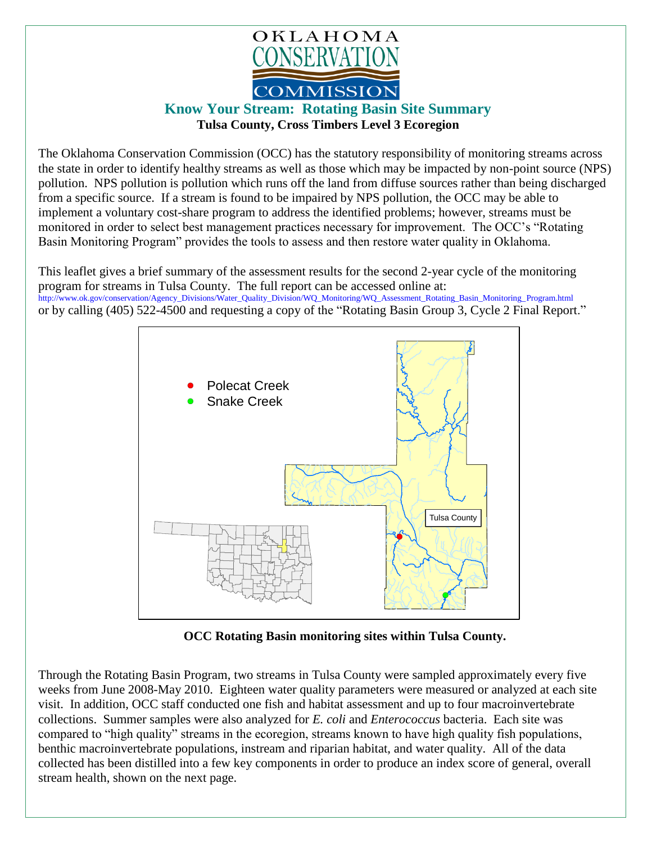

## **Know Your Stream: Rotating Basin Site Summary Tulsa County, Cross Timbers Level 3 Ecoregion**

The Oklahoma Conservation Commission (OCC) has the statutory responsibility of monitoring streams across the state in order to identify healthy streams as well as those which may be impacted by non-point source (NPS) pollution. NPS pollution is pollution which runs off the land from diffuse sources rather than being discharged from a specific source. If a stream is found to be impaired by NPS pollution, the OCC may be able to implement a voluntary cost-share program to address the identified problems; however, streams must be monitored in order to select best management practices necessary for improvement. The OCC's "Rotating Basin Monitoring Program" provides the tools to assess and then restore water quality in Oklahoma.

This leaflet gives a brief summary of the assessment results for the second 2-year cycle of the monitoring program for streams in Tulsa County. The full report can be accessed online at: [http://www.ok.gov/conservation/Agency\\_Divisions/Water\\_Quality\\_Division/WQ\\_Monitoring/WQ\\_Assessment\\_Rotating\\_Basin\\_Monitoring\\_Program.html](http://www.ok.gov/conservation/Agency_Divisions/Water_Quality_Division/WQ_Monitoring/WQ_Assessment_Rotating_Basin_Monitoring_Program.html)  or by calling (405) 522-4500 and requesting a copy of the "Rotating Basin Group 3, Cycle 2 Final Report."



**OCC Rotating Basin monitoring sites within Tulsa County.**

Through the Rotating Basin Program, two streams in Tulsa County were sampled approximately every five weeks from June 2008-May 2010. Eighteen water quality parameters were measured or analyzed at each site visit. In addition, OCC staff conducted one fish and habitat assessment and up to four macroinvertebrate collections. Summer samples were also analyzed for *E. coli* and *Enterococcus* bacteria. Each site was compared to "high quality" streams in the ecoregion, streams known to have high quality fish populations, benthic macroinvertebrate populations, instream and riparian habitat, and water quality. All of the data collected has been distilled into a few key components in order to produce an index score of general, overall stream health, shown on the next page.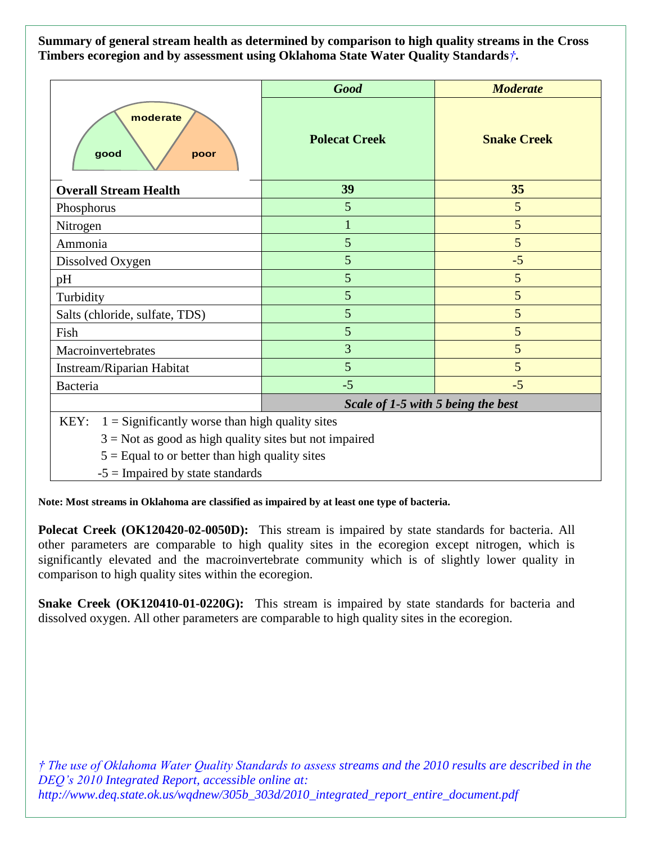**Summary of general stream health as determined by comparison to high quality streams in the Cross Timbers ecoregion and by assessment using Oklahoma State Water Quality Standards***†***.**

|                                                           | <b>Good</b>                        | <b>Moderate</b>    |
|-----------------------------------------------------------|------------------------------------|--------------------|
| moderate<br>good<br>poor                                  | <b>Polecat Creek</b>               | <b>Snake Creek</b> |
| <b>Overall Stream Health</b>                              | 39                                 | 35                 |
| Phosphorus                                                | 5                                  | 5                  |
| Nitrogen                                                  |                                    | 5                  |
| Ammonia                                                   | 5                                  | 5                  |
| Dissolved Oxygen                                          | 5                                  | $-5$               |
| pH                                                        | 5                                  | 5                  |
| Turbidity                                                 | 5                                  | 5                  |
| Salts (chloride, sulfate, TDS)                            | 5                                  | 5                  |
| Fish                                                      | 5                                  | 5                  |
| Macroinvertebrates                                        | 3                                  | 5                  |
| Instream/Riparian Habitat                                 | 5                                  | 5                  |
| Bacteria                                                  | $-5$                               | $-5$               |
|                                                           | Scale of 1-5 with 5 being the best |                    |
| KEY:<br>$1 =$ Significantly worse than high quality sites |                                    |                    |

 $3 = Not$  as good as high quality sites but not impaired

 $5 =$  Equal to or better than high quality sites

 $-5$  = Impaired by state standards

**Note: Most streams in Oklahoma are classified as impaired by at least one type of bacteria.**

**Polecat Creek (OK120420-02-0050D):** This stream is impaired by state standards for bacteria. All other parameters are comparable to high quality sites in the ecoregion except nitrogen, which is significantly elevated and the macroinvertebrate community which is of slightly lower quality in comparison to high quality sites within the ecoregion.

**Snake Creek (OK120410-01-0220G):** This stream is impaired by state standards for bacteria and dissolved oxygen. All other parameters are comparable to high quality sites in the ecoregion.

*† The use of Oklahoma Water Quality Standards to assess streams and the 2010 results are described in the DEQ's 2010 Integrated Report, accessible online at: http://www.deq.state.ok.us/wqdnew/305b\_303d/2010\_integrated\_report\_entire\_document.pdf*